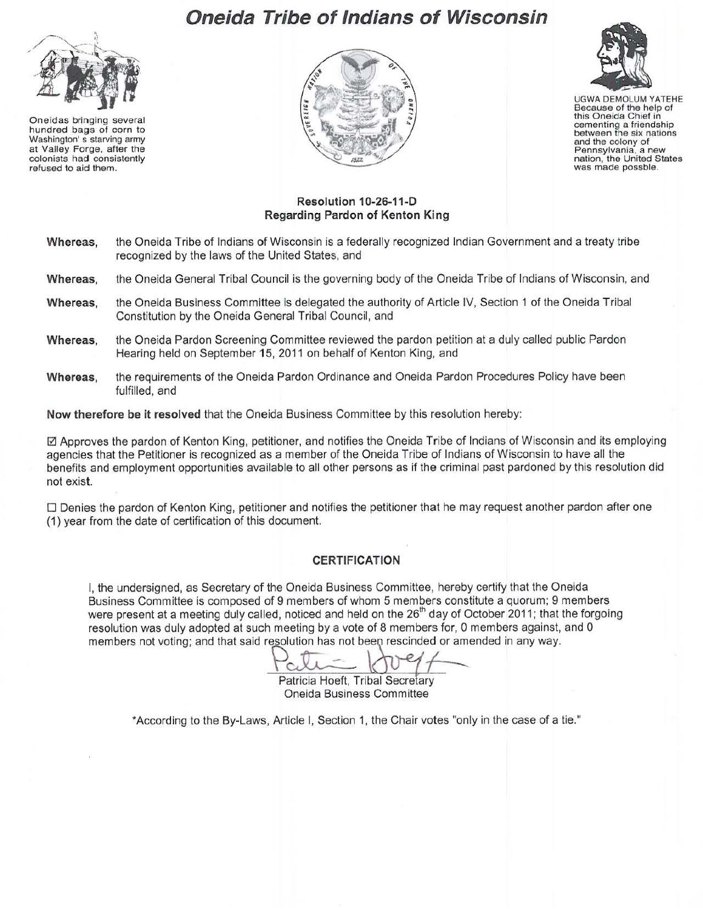## **Oneida Tribe of Indians of Wisconsin**



Oneidas bringing several hundred bags of corn to Washington' s starving army at Valley Forge, after the colonists had consistently refused to aid them.





UGWA DEMOLUM YATEHE Because of the help of this Oneida Chief in cementing a friendship between the six nations and the colony of Pennsylvania, a new nation, the United States was made possble.

## **Resolution 1 0-26-11-D Regarding Pardon of Kenton King**

- **Whereas,** the Oneida Tribe of Indians of Wisconsin is a federally recognized Indian Government and a treaty tribe recognized by the laws of the United States, and
- **Whereas,** the Oneida General Tribal Council is the governing body of the Oneida Tribe of Indians of Wisconsin, and
- **Whereas,** the Oneida Business Committee is delegated the authority of Article IV, Section 1 of the Oneida Tribal Constitution by the Oneida General Tribal Council, and
- **Whereas,** the Oneida Pardon Screening Committee reviewed the pardon petition at a duly called public Pardon Hearing held on September **15,** 2011 on behalf of Kenton King, and
- **Whereas,** the requirements of the Oneida Pardon Ordinance and Oneida Pardon Procedures Policy have been fulfilled, and

**Now therefore be it resolved** that the Oneida Business Committee by this resolution hereby:

 $\boxtimes$  Approves the pardon of Kenton King, petitioner, and notifies the Oneida Tribe of Indians of Wisconsin and its employing agencies that the Petitioner is recognized as a member of the Oneida Tribe of Indians of Wisconsin to have all the benefits and employment opportunities available to all other persons as if the criminal past pardoned by this resolution did not exist.

0 Denies the pardon of Kenton King, petitioner and notifies the petitioner that he may request another pardon after one (1) year from the date of certification of this document.

## **CERTIFICATION**

I, the undersigned, as Secretary of the Oneida Business Committee, hereby certify that the Oneida Business Committee is composed of 9 members of whom 5 members constitute a quorum; 9 members were present at a meeting duly called, noticed and held on the 26<sup>th</sup> day of October 2011; that the forgoing resolution was duly adopted at such meeting by a vote of 8 members for, 0 members against, and 0 members not voting; and that said resolution has not been rescinded or amended in any way.<br>Patricia Hoeft, Tribal Secretary members not voting; and that said resolution has not been rescinded or amended in any way.

Patricia Hoeft, Tribal Secretary Oneida Business Committee

\*According to the By-Laws, Article I, Section 1, the Chair votes "only in the case of a tie."